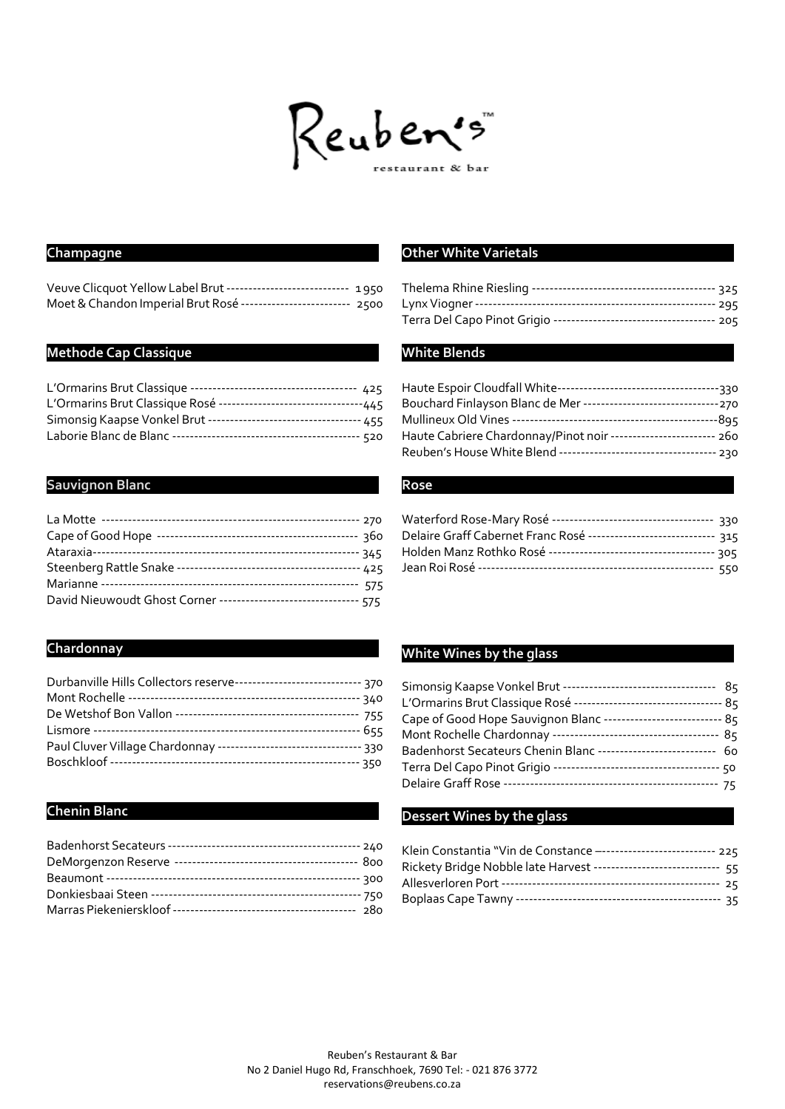

# **Champagne**

| Veuve Clicquot Yellow Label Brut ---------------------------- 1950 |  |
|--------------------------------------------------------------------|--|
| Moet & Chandon Imperial Brut Rosé ------------------------- 2500   |  |

### **Methode Cap Classique**

| L'Ormarins Brut Classique Rosé -----------------------------------445 |  |
|-----------------------------------------------------------------------|--|
| Simonsig Kaapse Vonkel Brut ----------------------------------- 455   |  |
|                                                                       |  |

## **Sauvignon Blanc**

| David Nieuwoudt Ghost Corner --------------------------------- 575 |  |
|--------------------------------------------------------------------|--|

# **Chardonnay**

| Durbanville Hills Collectors reserve------------------------------ 370 |  |
|------------------------------------------------------------------------|--|
|                                                                        |  |
|                                                                        |  |
|                                                                        |  |
| Paul Cluver Village Chardonnay --------------------------------- 330   |  |
|                                                                        |  |

# **Chenin Blanc**

### **Other White Varietals**

#### **White Blends**

| Haute Cabriere Chardonnay/Pinot noir ------------------------ 260  |  |
|--------------------------------------------------------------------|--|
| Reuben's House White Blend ----------------------------------- 230 |  |

#### **Rose**

| Delaire Graff Cabernet Franc Rosé ---------------------------- 315 |  |
|--------------------------------------------------------------------|--|
|                                                                    |  |
|                                                                    |  |

## **White Wines by the glass**

| L'Ormarins Brut Classique Rosé ----------------------------------- 85 |  |
|-----------------------------------------------------------------------|--|
| Cape of Good Hope Sauvignon Blanc ---------------------------- 85     |  |
|                                                                       |  |
| Badenhorst Secateurs Chenin Blanc --------------------------- 60      |  |
|                                                                       |  |
|                                                                       |  |

### **Dessert Wines by the glass**

| Klein Constantia "Vin de Constance --------------------------- 225  |  |
|---------------------------------------------------------------------|--|
| Rickety Bridge Nobble late Harvest ----------------------------- 55 |  |
|                                                                     |  |
|                                                                     |  |